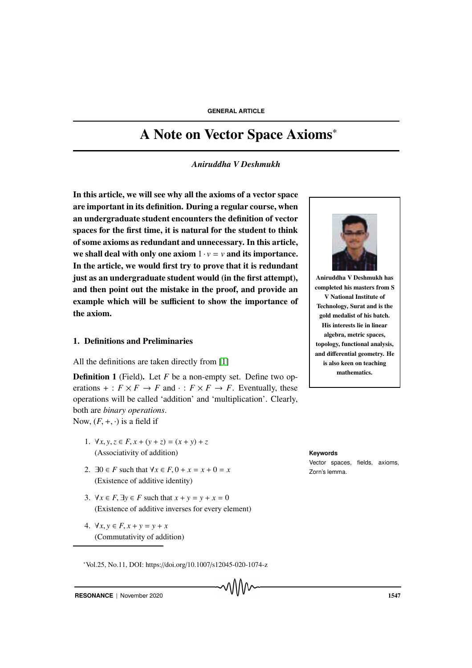# A Note on Vector Space Axioms<sup>∗</sup>

*Aniruddha V Deshmukh*

In this article, we will see why all the axioms of a vector space are important in its definition. During a regular course, when an undergraduate student encounters the definition of vector spaces for the first time, it is natural for the student to think of some axioms as redundant and unnecessary. In this article, we shall deal with only one axiom  $1 \cdot v = v$  and its importance. In the article, we would first try to prove that it is redundant just as an undergraduate student would (in the first attempt), and then point out the mistake in the proof, and provide an example which will be sufficient to show the importance of the axiom.

### 1. Definitions and Preliminaries

All the definitions are taken directly from [1]

**Definition 1** (Field). Let *F* be a non-empty set. Define two operations  $+ : F \times F \to F$  and  $\cdot : F \times F \to F$ . Eventually, these operations will be called 'addition' and 'multiplication'. Clearly, both are *binary operations*. Now,  $(F, +, \cdot)$  is a field if

- 1.  $\forall x, y, z \in F, x + (y + z) = (x + y) + z$ (Associativity of addition) **Keywords**
- 2.  $\exists 0 \in F$  such that  $\forall x \in F$ ,  $0 + x = x + 0 = x$  zorn's lemma. (Existence of additive identity)
- 3.  $\forall x \in F$ ,  $\exists y \in F$  such that  $x + y = y + x = 0$ (Existence of additive inverses for every element)

<sup>∗</sup>Vol.25, No.11, DOI: https://doi.org/10.1007/s12045-020-1074-z

4. ∀*x*, *y* ∈ *F*, *x* + *y* = *y* + *x* (Commutativity of addition)



Aniruddha V Deshmukh has completed his masters from S V National Institute of Technology, Surat and is the gold medalist of his batch. His interests lie in linear algebra, metric spaces, topology, functional analysis, and differential geometry. He is also keen on teaching mathematics.

Vector spaces, fields, axioms,

**RESONANCE** | November 2020 1547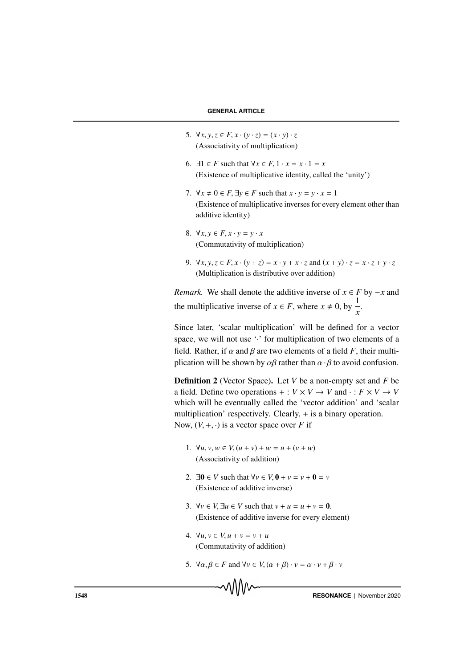- 5.  $\forall x, y, z \in F, x \cdot (y \cdot z) = (x \cdot y) \cdot z$ (Associativity of multiplication)
- 6.  $\exists 1 \in F$  such that  $\forall x \in F$ ,  $1 \cdot x = x \cdot 1 = x$ (Existence of multiplicative identity, called the 'unity')
- 7.  $\forall x \neq 0 \in F$ ,  $\exists y \in F$  such that  $x \cdot y = y \cdot x = 1$ (Existence of multiplicative inverses for every element other than additive identity)
- 8.  $\forall x, y \in F, x \cdot y = y \cdot x$ (Commutativity of multiplication)
- 9.  $\forall x, y, z \in F, x \cdot (y + z) = x \cdot y + x \cdot z$  and  $(x + y) \cdot z = x \cdot z + y \cdot z$ (Multiplication is distributive over addition)

*Remark.* We shall denote the additive inverse of  $x \in F$  by  $-x$  and the multiplicative inverse of  $x \in F$ , where  $x \neq 0$ , by  $\frac{1}{x}$ .

Since later, 'scalar multiplication' will be defined for a vector space, we will not use '.' for multiplication of two elements of a field. Rather, if  $\alpha$  and  $\beta$  are two elements of a field *F*, their multiplication will be shown by  $\alpha\beta$  rather than  $\alpha \cdot \beta$  to avoid confusion.

Definition 2 (Vector Space). Let *V* be a non-empty set and *F* be a field. Define two operations  $+ : V \times V \rightarrow V$  and  $\cdot : F \times V \rightarrow V$ which will be eventually called the 'vector addition' and 'scalar multiplication' respectively. Clearly, + is a binary operation. Now,  $(V, +, \cdot)$  is a vector space over *F* if

- 1.  $\forall u, v, w \in V, (u + v) + w = u + (v + w)$ (Associativity of addition)
- 2.  $\exists 0 \in V$  such that  $\forall v \in V, 0 + v = v + 0 = v$ (Existence of additive inverse)
- 3.  $\forall v \in V$ ,  $\exists u \in V$  such that  $v + u = u + v = 0$ . (Existence of additive inverse for every element)
- 4. ∀*u*, *v* ∈ *V*, *u* + *v* = *v* + *u* (Commutativity of addition)
- 5.  $\forall \alpha, \beta \in F$  and  $\forall v \in V, (\alpha + \beta) \cdot v = \alpha \cdot v + \beta \cdot v$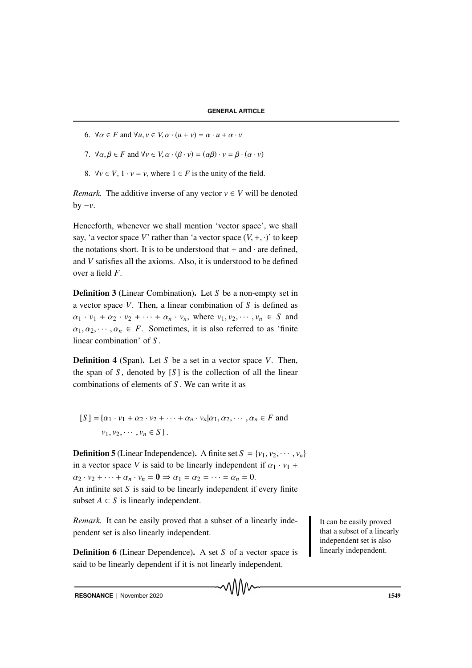- 6.  $\forall \alpha \in F$  and  $\forall u, v \in V, \alpha \cdot (u + v) = \alpha \cdot u + \alpha \cdot v$
- 7.  $\forall \alpha, \beta \in F$  and  $\forall v \in V, \alpha \cdot (\beta \cdot v) = (\alpha \beta) \cdot v = \beta \cdot (\alpha \cdot v)$
- 8.  $\forall v \in V$ ,  $1 \cdot v = v$ , where  $1 \in F$  is the unity of the field.

*Remark.* The additive inverse of any vector  $v \in V$  will be denoted  $by -v.$ 

Henceforth, whenever we shall mention 'vector space', we shall say, 'a vector space V' rather than 'a vector space  $(V, +, \cdot)$ ' to keep the notations short. It is to be understood that  $+$  and  $\cdot$  are defined. and *V* satisfies all the axioms. Also, it is understood to be defined over a field *F*.

Definition 3 (Linear Combination). Let *S* be a non-empty set in a vector space *V*. Then, a linear combination of *S* is defined as  $\alpha_1 \cdot v_1 + \alpha_2 \cdot v_2 + \cdots + \alpha_n \cdot v_n$ , where  $v_1, v_2, \cdots, v_n \in S$  and  $\alpha_1, \alpha_2, \cdots, \alpha_n \in F$ . Sometimes, it is also referred to as 'finite linear combination' of *S* .

Definition 4 (Span). Let *S* be a set in a vector space *V*. Then, the span of  $S$ , denoted by  $[S]$  is the collection of all the linear combinations of elements of *S* . We can write it as

$$
[S] = \{\alpha_1 \cdot v_1 + \alpha_2 \cdot v_2 + \dots + \alpha_n \cdot v_n | \alpha_1, \alpha_2, \dots, \alpha_n \in F \text{ and } v_1, v_2, \dots, v_n \in S\}.
$$

**Definition 5** (Linear Independence). A finite set  $S = \{v_1, v_2, \dots, v_n\}$ in a vector space *V* is said to be linearly independent if  $\alpha_1 \cdot \nu_1$  +  $\alpha_2 \cdot v_2 + \cdots + \alpha_n \cdot v_n = \mathbf{0} \Rightarrow \alpha_1 = \alpha_2 = \cdots = \alpha_n = 0.$ An infinite set *S* is said to be linearly independent if every finite subset  $A \subset S$  is linearly independent.

*Remark*. It can be easily proved that a subset of a linearly inde-<br>It can be easily proved pendent set is also linearly independent.

Definition 6 (Linear Dependence). A set *S* of a vector space is said to be linearly dependent if it is not linearly independent.

that a subset of a linearly independent set is also linearly independent.

**RESONANCE** | November 2020 **1549**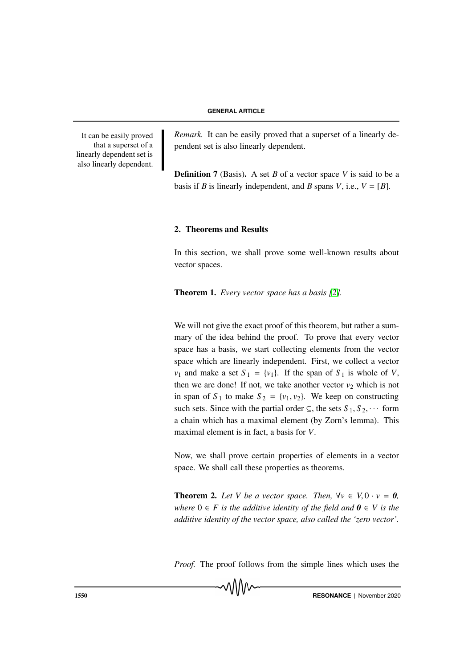It can be easily proved that a superset of a linearly dependent set is also linearly dependent. Remark. It can be easily proved that a superset of a linearly dependent set is also linearly dependent.

Definition 7 (Basis). A set *B* of a vector space *V* is said to be a basis if *B* is linearly independent, and *B* spans *V*, i.e.,  $V = [B]$ .

## 2. Theorems and Results

In this section, we shall prove some well-known results about vector spaces.

Theorem 1. *Every vector space has a basis [2].*

We will not give the exact proof of this theorem, but rather a summary of the idea behind the proof. To prove that every vector space has a basis, we start collecting elements from the vector space which are linearly independent. First, we collect a vector  $v_1$  and make a set  $S_1 = \{v_1\}$ . If the span of  $S_1$  is whole of *V*, then we are done! If not, we take another vector  $v_2$  which is not in span of  $S_1$  to make  $S_2 = \{v_1, v_2\}$ . We keep on constructing such sets. Since with the partial order  $\subseteq$ , the sets  $S_1, S_2, \cdots$  form a chain which has a maximal element (by Zorn's lemma). This maximal element is in fact, a basis for *V*.

Now, we shall prove certain properties of elements in a vector space. We shall call these properties as theorems.

**Theorem 2.** Let V be a vector space. Then,  $\forall v \in V, 0 \cdot v = 0$ , *where*  $0 \in F$  *is the additive identity of the field and*  $0 \in V$  *is the additive identity of the vector space, also called the 'zero vector'.*

*Proof.* The proof follows from the simple lines which uses the

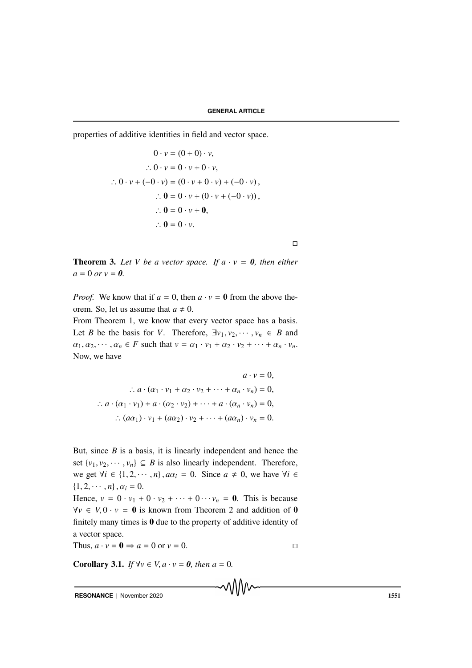properties of additive identities in field and vector space.

$$
0 \cdot v = (0 + 0) \cdot v,
$$
  
\n
$$
\therefore 0 \cdot v = 0 \cdot v + 0 \cdot v,
$$
  
\n
$$
\therefore 0 \cdot v + (-0 \cdot v) = (0 \cdot v + 0 \cdot v) + (-0 \cdot v),
$$
  
\n
$$
\therefore \mathbf{0} = 0 \cdot v + (0 \cdot v + (-0 \cdot v)),
$$
  
\n
$$
\therefore \mathbf{0} = 0 \cdot v + \mathbf{0},
$$
  
\n
$$
\therefore \mathbf{0} = 0 \cdot v.
$$

 $\Box$ 

**Theorem 3.** Let V be a vector space. If  $a \cdot v = 0$ , then either  $a = 0$  *or*  $v = 0$ .

*Proof.* We know that if  $a = 0$ , then  $a \cdot v = 0$  from the above theorem. So, let us assume that  $a \neq 0$ .

From Theorem 1, we know that every vector space has a basis. Let *B* be the basis for *V*. Therefore,  $\exists v_1, v_2, \dots, v_n \in B$  and  $\alpha_1, \alpha_2, \cdots, \alpha_n \in F$  such that  $v = \alpha_1 \cdot v_1 + \alpha_2 \cdot v_2 + \cdots + \alpha_n \cdot v_n$ . Now, we have

$$
a \cdot v = 0,
$$
  
\n
$$
\therefore a \cdot (\alpha_1 \cdot v_1 + \alpha_2 \cdot v_2 + \dots + \alpha_n \cdot v_n) = 0,
$$
  
\n
$$
\therefore a \cdot (\alpha_1 \cdot v_1) + a \cdot (\alpha_2 \cdot v_2) + \dots + a \cdot (\alpha_n \cdot v_n) = 0,
$$
  
\n
$$
\therefore (a\alpha_1) \cdot v_1 + (a\alpha_2) \cdot v_2 + \dots + (a\alpha_n) \cdot v_n = 0.
$$

But, since *B* is a basis, it is linearly independent and hence the set  $\{v_1, v_2, \dots, v_n\} \subseteq B$  is also linearly independent. Therefore, we get  $\forall i \in \{1, 2, \dots, n\}, a\alpha_i = 0$ . Since  $a \neq 0$ , we have  $\forall i \in$  $\{1, 2, \cdots, n\}, \alpha_i = 0.$ 

Hence,  $v = 0 \cdot v_1 + 0 \cdot v_2 + \cdots + 0 \cdot v_n = 0$ . This is because  $\forall v \in V, 0 \cdot v = 0$  is known from Theorem 2 and addition of 0 finitely many times is 0 due to the property of additive identity of a vector space.

Thus,  $a \cdot v = 0 \Rightarrow a = 0$  or  $v = 0$ .

**Corollary 3.1.** *If*  $\forall v \in V, a \cdot v = 0$ *, then*  $a = 0$ *.* 

**RESONANCE** | November 2020 1551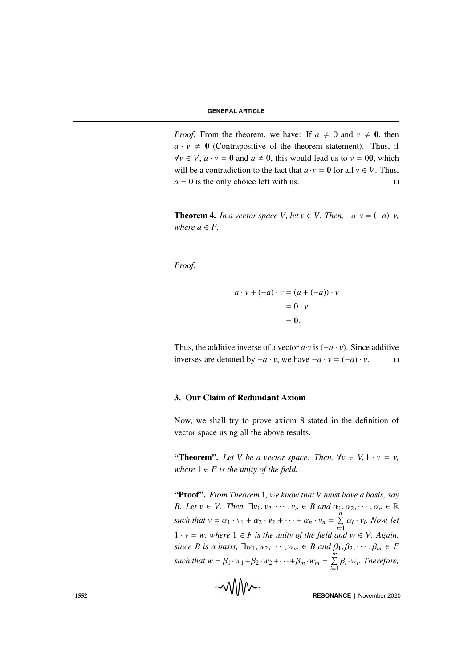*Proof.* From the theorem, we have: If  $a \neq 0$  and  $v \neq 0$ , then  $a \cdot v \neq 0$  (Contrapositive of the theorem statement). Thus, if *∀v* ∈ *V*,  $a \cdot v = 0$  and  $a \ne 0$ , this would lead us to  $v = 00$ , which will be a contradiction to the fact that  $a \cdot v = 0$  for all  $v \in V$ . Thus,  $a = 0$  is the only choice left with us.

**Theorem 4.** *In a vector space V, let v*  $\in$  *V, Then,*  $-a \cdot v = (-a) \cdot v$ , *where*  $a \in F$ .

*Proof.*

$$
a \cdot v + (-a) \cdot v = (a + (-a)) \cdot v
$$

$$
= 0 \cdot v
$$

$$
= 0.
$$

Thus, the additive inverse of a vector  $a \cdot v$  is ( $-a \cdot v$ ). Since additive inverses are denoted by  $-a \cdot v$ , we have  $-a \cdot v = (-a) \cdot v$ .  $□$ 

#### 3. Our Claim of Redundant Axiom

Now, we shall try to prove axiom 8 stated in the definition of vector space using all the above results.

"Theorem". Let V be a vector space. Then,  $\forall v \in V, 1 \cdot v = v$ , *where*  $1 \in F$  *is the unity of the field.* 

"Proof". *From Theorem* 1*, we know that V must have a basis, say B.* Let  $v \in V$ . Then,  $\exists v_1, v_2, \dots, v_n \in B$  and  $\alpha_1, \alpha_2, \dots, \alpha_n \in \mathbb{R}$ *such that*  $v = \alpha_1 \cdot v_1 + \alpha_2 \cdot v_2 + \cdots + \alpha_n \cdot v_n = \sum_{i=1}^n \alpha_i \cdot v_i$ . Now, let 1 · *v* = *w, where* 1 ∈ *F is the unity of the field and w* ∈ *V. Again, since B is a basis,*  $\exists w_1, w_2, \dots, w_m \in B$  *and*  $\beta_1, \beta_2, \dots, \beta_m \in F$ such that  $w = \beta_1 \cdot w_1 + \beta_2 \cdot w_2 + \cdots + \beta_m \cdot w_m = \sum_{i=1}^m \beta_i \cdot w_i$ . Therefore,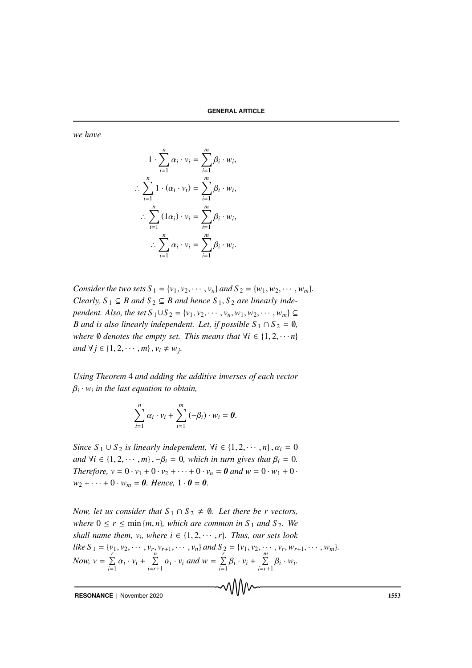*we have*

$$
1 \cdot \sum_{i=1}^{n} \alpha_i \cdot v_i = \sum_{i=1}^{m} \beta_i \cdot w_i,
$$
  
\n
$$
\therefore \sum_{i=1}^{n} 1 \cdot (\alpha_i \cdot v_i) = \sum_{i=1}^{m} \beta_i \cdot w_i,
$$
  
\n
$$
\therefore \sum_{i=1}^{n} (1\alpha_i) \cdot v_i = \sum_{i=1}^{m} \beta_i \cdot w_i,
$$
  
\n
$$
\therefore \sum_{i=1}^{n} \alpha_i \cdot v_i = \sum_{i=1}^{m} \beta_i \cdot w_i.
$$

*Consider the two sets*  $S_1 = \{v_1, v_2, \dots, v_n\}$  *and*  $S_2 = \{w_1, w_2, \dots, w_m\}$ . *Clearly,*  $S_1 \subseteq B$  *and*  $S_2 \subseteq B$  *and hence*  $S_1$ ,  $S_2$  *are linearly independent. Also, the set*  $S_1 ∪ S_2 = {v_1, v_2, ⋯, v_n, w_1, w_2, ⋯, w_m}$  ⊆ *B* and is also linearly independent. Let, if possible  $S_1 \cap S_2 = \emptyset$ , *where*  $\emptyset$  *denotes the empty set. This means that*  $\forall i \in \{1, 2, \dots n\}$ *and*  $\forall j \in \{1, 2, \dots, m\}, v_i \neq w_j$ .

*Using Theorem* 4 *and adding the additive inverses of each vector* β*i* · *w<sup>i</sup> in the last equation to obtain,*

$$
\sum_{i=1}^n \alpha_i \cdot v_i + \sum_{i=1}^m (-\beta_i) \cdot w_i = \mathbf{0}.
$$

*Since*  $S_1 \cup S_2$  *is linearly independent,*  $\forall i \in \{1, 2, \dots, n\}, \alpha_i = 0$ *and*  $\forall i \in \{1, 2, \dots, m\}, -\beta_i = 0$ *, which in turn gives that*  $\beta_i = 0$ *. Therefore,*  $v = 0 \cdot v_1 + 0 \cdot v_2 + \cdots + 0 \cdot v_n = 0$  and  $w = 0 \cdot w_1 + 0 \cdot v_2 + \cdots + 0 \cdot v_n = 0$  $w_2 + \cdots + 0 \cdot w_m = 0$ . Hence,  $1 \cdot 0 = 0$ .

*Now, let us consider that*  $S_1 \cap S_2 \neq \emptyset$ *. Let there be r vectors, where*  $0 \le r \le \min\{m, n\}$ *, which are common in*  $S_1$  *and*  $S_2$ *. We shall name them,*  $v_i$ , where  $i \in \{1, 2, \dots, r\}$ . Thus, our sets look like  $S_1 = \{v_1, v_2, \cdots, v_r, v_{r+1}, \cdots, v_n\}$  and  $S_2 = \{v_1, v_2, \cdots, v_r, w_{r+1}, \cdots, w_m\}$ . Now,  $v = \sum_{i=1}^{r} \alpha_i \cdot v_i + \sum_{i=r+1}^{n} \alpha_i \cdot v_i$  and  $w = \sum_{i=1}^{r} \beta_i \cdot v_i + \sum_{i=r+1}^{m} \beta_i \cdot w_i$ .

**RESONANCE** | November 2020 1553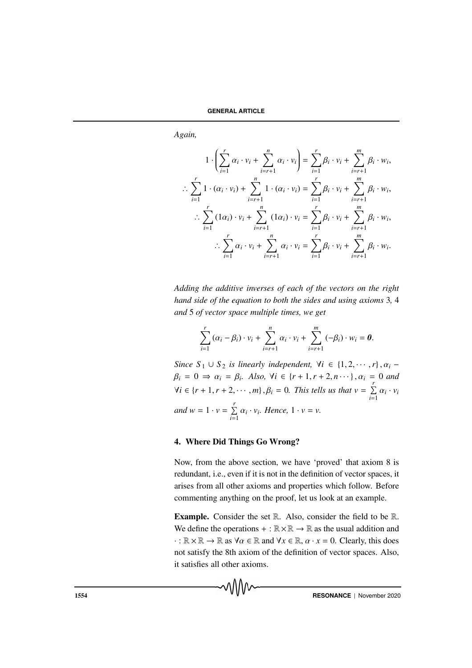*Again,*

$$
1 \cdot \left( \sum_{i=1}^{r} \alpha_{i} \cdot v_{i} + \sum_{i=r+1}^{n} \alpha_{i} \cdot v_{i} \right) = \sum_{i=1}^{r} \beta_{i} \cdot v_{i} + \sum_{i=r+1}^{m} \beta_{i} \cdot w_{i},
$$
  
\n
$$
\therefore \sum_{i=1}^{r} 1 \cdot (\alpha_{i} \cdot v_{i}) + \sum_{i=r+1}^{n} 1 \cdot (\alpha_{i} \cdot v_{i}) = \sum_{i=1}^{r} \beta_{i} \cdot v_{i} + \sum_{i=r+1}^{m} \beta_{i} \cdot w_{i},
$$
  
\n
$$
\therefore \sum_{i=1}^{r} (1\alpha_{i}) \cdot v_{i} + \sum_{i=r+1}^{n} (1\alpha_{i}) \cdot v_{i} = \sum_{i=1}^{r} \beta_{i} \cdot v_{i} + \sum_{i=r+1}^{m} \beta_{i} \cdot w_{i},
$$
  
\n
$$
\therefore \sum_{i=1}^{r} \alpha_{i} \cdot v_{i} + \sum_{i=r+1}^{n} \alpha_{i} \cdot v_{i} = \sum_{i=1}^{r} \beta_{i} \cdot v_{i} + \sum_{i=r+1}^{m} \beta_{i} \cdot w_{i}.
$$

*Adding the additive inverses of each of the vectors on the right hand side of the equation to both the sides and using axioms* 3*,* 4 *and* 5 *of vector space multiple times, we get*

$$
\sum_{i=1}^r (\alpha_i - \beta_i) \cdot v_i + \sum_{i=r+1}^n \alpha_i \cdot v_i + \sum_{i=r+1}^m (-\beta_i) \cdot w_i = \boldsymbol{0}.
$$

*Since*  $S_1 \cup S_2$  *is linearly independent,*  $\forall i \in \{1, 2, \dots, r\}$ ,  $\alpha_i$  $\beta_i = 0 \Rightarrow \alpha_i = \beta_i$ . Also,  $\forall i \in \{r+1, r+2, n\cdots\}$ ,  $\alpha_i = 0$  and  $\forall i \in \{r+1, r+2, \cdots, m\}, \beta_i = 0$ . This tells us that  $v = \sum_{i=1}^r \alpha_i \cdot v_i$ *and*  $w = 1 \cdot v = \sum_{i=1}^{r} \alpha_i \cdot v_i$ *. Hence,*  $1 \cdot v = v$ *.* 

# 4. Where Did Things Go Wrong?

Now, from the above section, we have 'proved' that axiom 8 is redundant, i.e., even if it is not in the definition of vector spaces, it arises from all other axioms and properties which follow. Before commenting anything on the proof, let us look at an example.

Example. Consider the set R. Also, consider the field to be R. We define the operations + :  $\mathbb{R} \times \mathbb{R} \to \mathbb{R}$  as the usual addition and  $\cdot : \mathbb{R} \times \mathbb{R} \to \mathbb{R}$  as  $\forall \alpha \in \mathbb{R}$  and  $\forall x \in \mathbb{R}, \alpha \cdot x = 0$ . Clearly, this does not satisfy the 8th axiom of the definition of vector spaces. Also, it satisfies all other axioms.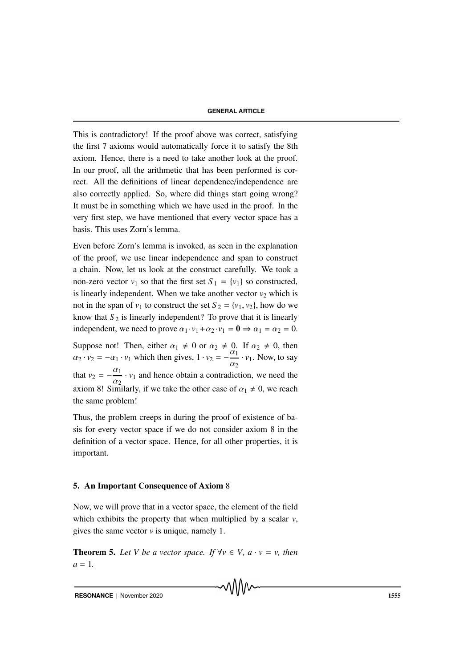#### **GENERAL ARTICLE**

This is contradictory! If the proof above was correct, satisfying the first 7 axioms would automatically force it to satisfy the 8th axiom. Hence, there is a need to take another look at the proof. In our proof, all the arithmetic that has been performed is correct. All the definitions of linear dependence/independence are also correctly applied. So, where did things start going wrong? It must be in something which we have used in the proof. In the very first step, we have mentioned that every vector space has a basis. This uses Zorn's lemma.

Even before Zorn's lemma is invoked, as seen in the explanation of the proof, we use linear independence and span to construct a chain. Now, let us look at the construct carefully. We took a non-zero vector  $v_1$  so that the first set  $S_1 = \{v_1\}$  so constructed, is linearly independent. When we take another vector  $v_2$  which is not in the span of  $v_1$  to construct the set  $S_2 = \{v_1, v_2\}$ , how do we know that  $S_2$  is linearly independent? To prove that it is linearly independent, we need to prove  $\alpha_1 \cdot v_1 + \alpha_2 \cdot v_1 = \mathbf{0} \Rightarrow \alpha_1 = \alpha_2 = 0$ .

Suppose not! Then, either  $\alpha_1 \neq 0$  or  $\alpha_2 \neq 0$ . If  $\alpha_2 \neq 0$ , then  $\alpha_2 \cdot v_2 = -\alpha_1 \cdot v_1$  which then gives,  $1 \cdot v_2 = -\frac{\alpha_1}{\alpha_2}$  $\frac{\alpha_1}{\alpha_2} \cdot v_1$ . Now, to say that  $v_2 = -\frac{\alpha_1}{\alpha_2}$  $\frac{\alpha_1}{\alpha_2}$  ·  $v_1$  and hence obtain a contradiction, we need the axiom 8! Similarly, if we take the other case of  $\alpha_1 \neq 0$ , we reach the same problem!

Thus, the problem creeps in during the proof of existence of basis for every vector space if we do not consider axiom 8 in the definition of a vector space. Hence, for all other properties, it is important.

### 5. An Important Consequence of Axiom 8

Now, we will prove that in a vector space, the element of the field which exhibits the property that when multiplied by a scalar *v*, gives the same vector *v* is unique, namely 1.

**Theorem 5.** Let V be a vector space. If  $\forall v \in V$ ,  $a \cdot v = v$ , then  $a = 1$ .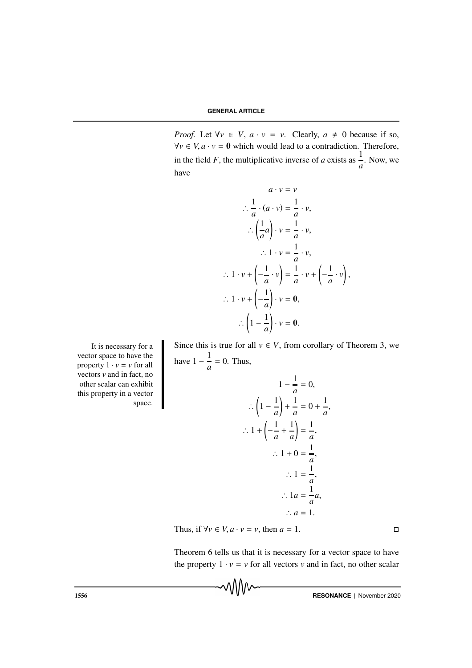*Proof.* Let  $\forall v \in V$ ,  $a \cdot v = v$ . Clearly,  $a \neq 0$  because if so,  $\forall v \in V, a \cdot v = 0$  which would lead to a contradiction. Therefore, in the field *F*, the multiplicative inverse of *a* exists as  $\frac{1}{a}$ . Now, we have

$$
a \cdot v = v
$$
  
\n
$$
\therefore \frac{1}{a} \cdot (a \cdot v) = \frac{1}{a} \cdot v,
$$
  
\n
$$
\therefore \left(\frac{1}{a}a\right) \cdot v = \frac{1}{a} \cdot v,
$$
  
\n
$$
\therefore 1 \cdot v = \frac{1}{a} \cdot v,
$$
  
\n
$$
\therefore 1 \cdot v + \left(-\frac{1}{a} \cdot v\right) = \frac{1}{a} \cdot v + \left(-\frac{1}{a} \cdot v\right)
$$
  
\n
$$
\therefore 1 \cdot v + \left(-\frac{1}{a}\right) \cdot v = \mathbf{0},
$$
  
\n
$$
\therefore \left(1 - \frac{1}{a}\right) \cdot v = \mathbf{0}.
$$

,

,

Since this is true for all  $v \in V$ , from corollary of Theorem 3, we have  $1 - \frac{1}{1}$  $\frac{1}{a} = 0$ . Thus,

It is necessary for a vector space to have the property  $1 \cdot v = v$  for all vectors *v* and in fact, no other scalar can exhibit this property in a vector space.

$$
1 - \frac{1}{a} = 0,
$$
  
\n
$$
\therefore \left(1 - \frac{1}{a}\right) + \frac{1}{a} = 0 + \frac{1}{a}
$$
  
\n
$$
\therefore 1 + \left(-\frac{1}{a} + \frac{1}{a}\right) = \frac{1}{a},
$$
  
\n
$$
\therefore 1 + 0 = \frac{1}{a},
$$
  
\n
$$
\therefore 1 = \frac{1}{a},
$$
  
\n
$$
\therefore 1a = \frac{1}{a}a,
$$
  
\n
$$
\therefore a = 1.
$$

Thus, if  $\forall v \in V, a \cdot v = v$ , then  $a = 1$ .

Theorem 6 tells us that it is necessary for a vector space to have the property  $1 \cdot v = v$  for all vectors *v* and in fact, no other scalar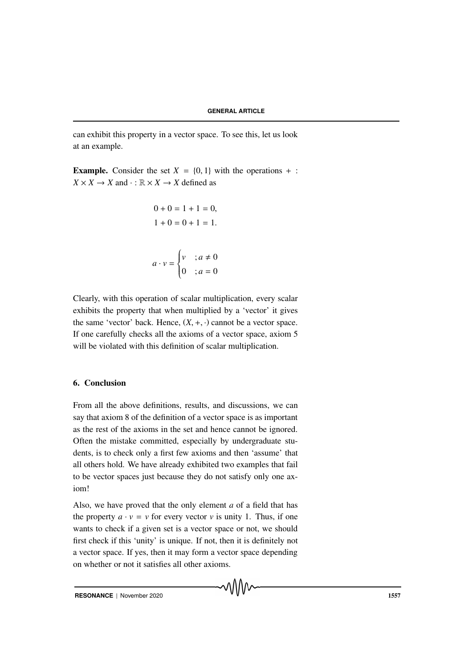can exhibit this property in a vector space. To see this, let us look at an example.

**Example.** Consider the set  $X = \{0, 1\}$  with the operations  $+$ :  $X \times X \to X$  and  $\cdot : \mathbb{R} \times X \to X$  defined as

$$
0 + 0 = 1 + 1 = 0,
$$
  
\n
$$
1 + 0 = 0 + 1 = 1.
$$
  
\n
$$
a \cdot v = \begin{cases} v & ; a \neq 0 \\ 0 & ; a = 0 \end{cases}
$$

Clearly, with this operation of scalar multiplication, every scalar exhibits the property that when multiplied by a 'vector' it gives the same 'vector' back. Hence,  $(X, +, \cdot)$  cannot be a vector space. If one carefully checks all the axioms of a vector space, axiom 5 will be violated with this definition of scalar multiplication.

# 6. Conclusion

From all the above definitions, results, and discussions, we can say that axiom 8 of the definition of a vector space is as important as the rest of the axioms in the set and hence cannot be ignored. Often the mistake committed, especially by undergraduate students, is to check only a first few axioms and then 'assume' that all others hold. We have already exhibited two examples that fail to be vector spaces just because they do not satisfy only one axiom!

Also, we have proved that the only element *a* of a field that has the property  $a \cdot v = v$  for every vector *v* is unity 1. Thus, if one wants to check if a given set is a vector space or not, we should first check if this 'unity' is unique. If not, then it is definitely not a vector space. If yes, then it may form a vector space depending on whether or not it satisfies all other axioms.

√∖∖∖∨∿